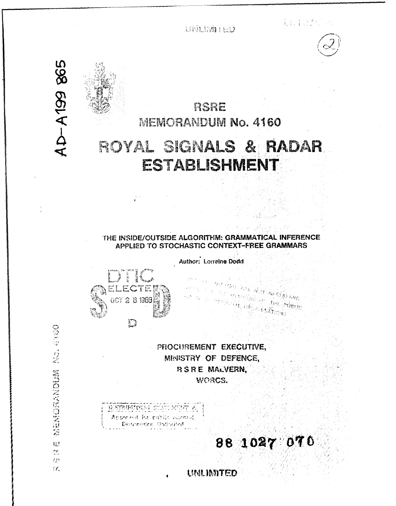**UNATIVED** 

上以下,有一





AD-A199 865

CONFIDENTIAL AND THE SECOND SCIENCE

挑  $\widetilde{C}^{\mu\nu}_{\mu\nu}$  $\mathcal{F}^{\mathcal{F}\chi}_{\mathcal{F}}$  $\alpha$ 

# RSRE **MEMORANDUM No. 4160** R&OYAL **SIGN~ALS** RADAR.

**ESTABLISHMENT** 

### THE **INSIDE/OUTSIDE** ALGORITHM: GRAMMATICAL **INFERENCE** APPLIED TO **STOCHASTIC CONTEXT-FREE** GRAMMARS

Author: Lorreine Dodd



PROCUREMENT EXECUTIVE, MINISTRY OF DEFENCE, **RSRE MALVERN.** WORCS.

Approved for public relativ Distribution Untilated

88 1027 070

na akay na a

**LINLIMITED**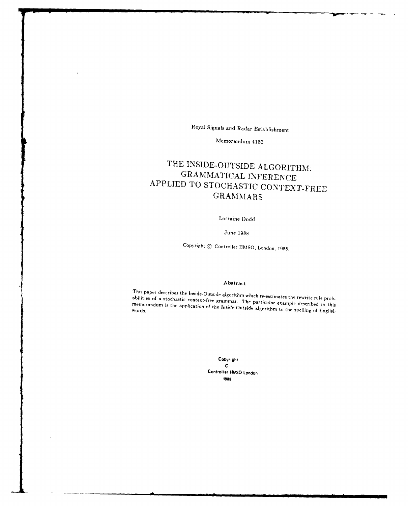Royal Signals and Radar Establishment

# Memorandum 4160

# THE **INSIDE-OUTSIDE** ALGORITHM: GRAMMATICAL **INFERENCE** APPLIED TO STOCHASTIC CONTEXT-FREE **GRAMMARS**

# Lorraine Dodd

#### <sup>3</sup> une **1988**

Copyright Controller **HMISO,** London, **1988,**

#### Abstract

This paper describes the Inside-Outside algorithm which re-estimates the rewrite rule prob-<br>abilities of a stochastic context-free grammar. The particular example described in this<br>memorandum is the application of the Insi

Copyright **C** Controller **HMSO** London **1988**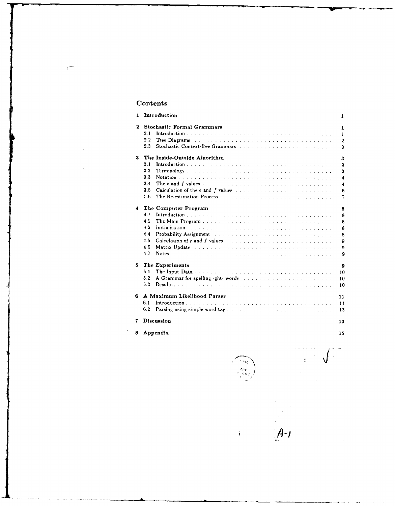# Contents

| 1  | Introduction                                                                                                                                                                                                                               | 1                |  |  |  |  |  |  |  |  |  |
|----|--------------------------------------------------------------------------------------------------------------------------------------------------------------------------------------------------------------------------------------------|------------------|--|--|--|--|--|--|--|--|--|
| 2  | <b>Stochastic Formal Grammars</b>                                                                                                                                                                                                          |                  |  |  |  |  |  |  |  |  |  |
|    | 2.1                                                                                                                                                                                                                                        | 1                |  |  |  |  |  |  |  |  |  |
|    | 2.2<br><b>Tree Diagrams</b> experiences and containing the containing the property of the containing the containing of the containing the containing of the containing of the containing of the containing of the containing of the contai | $\overline{2}$   |  |  |  |  |  |  |  |  |  |
|    | 2.3                                                                                                                                                                                                                                        | 3                |  |  |  |  |  |  |  |  |  |
| з  | The Inside-Outside Algorithm                                                                                                                                                                                                               | 3                |  |  |  |  |  |  |  |  |  |
|    | 3.1                                                                                                                                                                                                                                        | 3                |  |  |  |  |  |  |  |  |  |
|    | 3.2                                                                                                                                                                                                                                        | 3                |  |  |  |  |  |  |  |  |  |
|    | 3.3                                                                                                                                                                                                                                        | 4                |  |  |  |  |  |  |  |  |  |
|    | 3.4<br>The e and f values $\ldots$ . The set of $\ldots$ is a set of $\ldots$ is a set of $\ldots$                                                                                                                                         | 4                |  |  |  |  |  |  |  |  |  |
|    | 3.5                                                                                                                                                                                                                                        | 6                |  |  |  |  |  |  |  |  |  |
|    | 8.5                                                                                                                                                                                                                                        | 7                |  |  |  |  |  |  |  |  |  |
| 4  | The Computer Program                                                                                                                                                                                                                       | 8                |  |  |  |  |  |  |  |  |  |
|    | 4.1                                                                                                                                                                                                                                        | 8                |  |  |  |  |  |  |  |  |  |
|    | 4.2                                                                                                                                                                                                                                        | 8                |  |  |  |  |  |  |  |  |  |
|    | 4.3<br>Initialisation and a construction of the construction of the construction of the construction of the construction of the construction of the construction of the construction of the construction of the construction of the c      | 8                |  |  |  |  |  |  |  |  |  |
|    | 4.4<br>Probability Assignment Contract of the contract of the contract of the Probability Assignment                                                                                                                                       | 8                |  |  |  |  |  |  |  |  |  |
|    | 4.5                                                                                                                                                                                                                                        | 9                |  |  |  |  |  |  |  |  |  |
|    | 4.6<br>Matrix Update Albert and albert and albert and albert and albert and albert and albert and albert and albert and                                                                                                                    | 9                |  |  |  |  |  |  |  |  |  |
|    | 4.7<br>Notes and an analyzing and an analyzing and an analyzing and an analyzing and an analyzing and analyzing and an                                                                                                                     | 9                |  |  |  |  |  |  |  |  |  |
| 5  | The Experiments                                                                                                                                                                                                                            | $\boldsymbol{9}$ |  |  |  |  |  |  |  |  |  |
|    | 5.1                                                                                                                                                                                                                                        | 10               |  |  |  |  |  |  |  |  |  |
|    | 5.2                                                                                                                                                                                                                                        | 10               |  |  |  |  |  |  |  |  |  |
|    | 5.3                                                                                                                                                                                                                                        | 10               |  |  |  |  |  |  |  |  |  |
| 6. | A Maximum Likelihood Parser                                                                                                                                                                                                                | 11               |  |  |  |  |  |  |  |  |  |
|    | 6.1                                                                                                                                                                                                                                        | 11               |  |  |  |  |  |  |  |  |  |
|    | 6.2                                                                                                                                                                                                                                        | 13               |  |  |  |  |  |  |  |  |  |
| 7  | <b>Discussion</b>                                                                                                                                                                                                                          | 13               |  |  |  |  |  |  |  |  |  |
|    |                                                                                                                                                                                                                                            |                  |  |  |  |  |  |  |  |  |  |
| 8  | Appendix                                                                                                                                                                                                                                   | 15               |  |  |  |  |  |  |  |  |  |
|    |                                                                                                                                                                                                                                            |                  |  |  |  |  |  |  |  |  |  |

 $\mathbf{i}$ 

 $\mathcal{L}$ *A-.*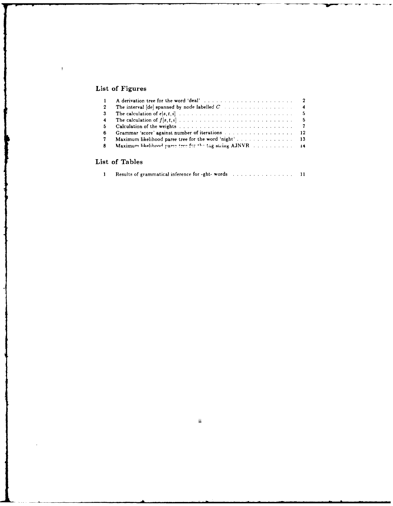# List of Figures

 $\bar{1}$ 

.<br>آ

| -2                      | The interval $\left[de\right]$ spanned by node labelled $C$ 4 |
|-------------------------|---------------------------------------------------------------|
| -3                      |                                                               |
| $\overline{\mathbf{4}}$ |                                                               |
| 5                       |                                                               |
| 6                       | Grammar 'score' against number of iterations 12               |
| 7                       |                                                               |
| -8                      | Maximum likelihood parse tree for the tag string AJNVR 14     |
|                         |                                                               |
|                         |                                                               |

# List of Tables

|--|--|--|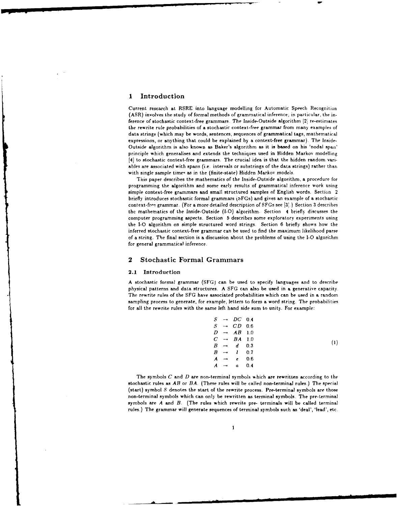#### **I** Introduction

Current research at RSRE into language modelling for Automatic Speech Recognition (ASR) involves the study of formal methods of grammatical inference; in particular, the inference of stochastic context-free grammars. The Inside-Outside algorithm [2] re-estimates the rewrite rule probabilities of a stochastic context-free grammar from many examples of data strings (which may be words, sentences, sequences of grammatical tags, mathematical expressions, or anything that could be explained by a context-free grammar). The Inside-Outside algorithm is also known as Baker's algorithm as it is based on his 'nodal span' principle which generalises and extends the techniques used in Hidden Markov modelling [4] to stochastic context-free grammars. The crucial idea is that the hidden random variables are associated with spans (i.e. intervals or substrings of the data strings) rather than with single sample times as in the (finite-state) Hidden Markov models.

This paper describes the mathematics of the Inside-Outside algorithm, a procedure for programming the algorithm and some early results of grammatical inference work using simple context-free grammars and small structured samples of English words. Section 2 briefly introduces stochastic formal grammars (tFGs) and gives an example of a stochastic context-free grammar. (For a more detailed description of SFGs see [3].) Section 3 describes the mathematics of the Inside-Outside (1-0) algorithm. Section 4 briefly discusses the computer programming aspects. Section 5 describes some exploratory experiments using the **1-0** algorithm on simple structured word strings. Section 6 briefly shows how the inferred stochastic context-free grammar can be used to find the maximum likelihood parse of a string. The final section is a discussion about the problems of using the **1-0** algorithm for general grammatical inference.

#### 2 Stochastic Formal Grammars

#### **2.1** Introduction

*A* stochastic formal grammar **(SFG)** can be used to specify languages and to describe physical patterns and data structures. A SFG can also be used in a generative capacity. The rewrite rules of the SFG have associated probabilities which can be used in a random sampling process to generate, for example, letters to form a word string. The probabilities for all the rewrite rules with the same left hand side sum to unity. For example:

|                 | $S \rightarrow DC$ 0.4      |     |
|-----------------|-----------------------------|-----|
|                 | $S \rightarrow CD$ 0.6      |     |
|                 | $D \rightarrow AB$ 1.0      |     |
|                 | $C \rightarrow BA$ 1.0      |     |
|                 | $B \rightarrow d \quad 0.3$ |     |
|                 | $B \rightarrow l \quad 0.7$ |     |
|                 | $A \rightarrow e 0.6$       |     |
| $A \rightarrow$ | $\mathbf{a}$                | 0.4 |
|                 |                             |     |

The symbols *C* and *D* are non-terminal symbols %hich are rewritten according to the stochastic rules as *AB* or *BA.* (These rules will be called non-terminal rules.) The special (start) symbol *S* denotes the start of the rewrite process. Pre-terminal symbols are those non-terminal symbols which can only be rewritten as terminal symbols. The pre-terminal symbols are *A* and *B.* (The rules which rewrite pre- terminals will be called terminal rules.) The grammar will generate sequences of terminal symbols such as 'deal', 'lead', etc.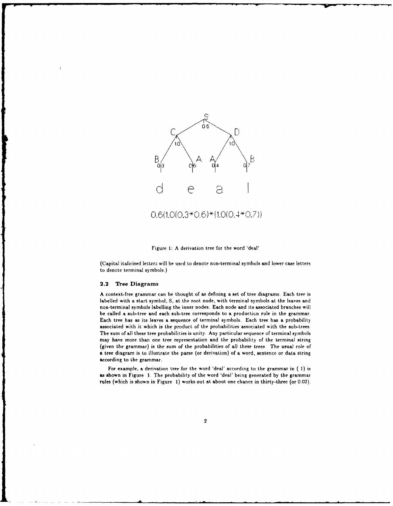



(Capital italicised letters will be used to denote non-terminal symbols and lower case letters to denote terminal symbols.)

#### 2.2 Tree Diagrams

**A** context-free grammar can be thought of as defining a set of tree diagrams. Each tree is labelled with a start symbol, **S,** at the root node, with terminal symbols at the leaves and non-terminal symbols labelling the inner nodes. Each node and its associated branches will be called a sub-tree and each sub-tree corresponds to a production rule in the grammar. Each tree has as its leaves a sequence of terminal symbols. Each tree has a probability associated with it which is the product of the probabilities associated with the sub-trees. The sum of all these tree probabilities is unity. Any particular sequence of terminal symbols may have more than one tree representation and the probability of the terminal string (given the grammar) is the sum of the probabilities of all these trees. The usual role of a tree diagram is to illustrate the parse (or derivation) of a word, sentence or data string according to the grammar.

For example, a derivation tree for the word 'deal' according to the grammar in ( **1)** is as shown in Figure **1.** The probability of the word 'deal' being generated **by** the grammar rules (which is shown in Figure **1)** works out at about one chance in thirty-three (or **0.03).**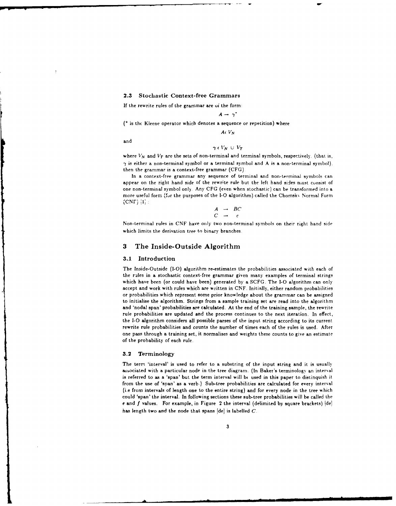#### **2.3 Stochastic Context-free Grammars**

**If** the rewrite rules of the grammar are oi the form:

$$
A \rightarrow \gamma
$$

**(\*** is the Kleene operator which denotes a sequence or repetition) where

$$
A\epsilon|V_N|
$$

and

$$
\gamma \in V_N \ \cup \ V_T
$$

where  $V_N$  and  $V_T$  are the sets of non-terminal and terminal symbols, respectively. (that is,  $\gamma$  is either a non-terminal symbol or a terminal symbol and A is a non-terminal symbol). then the grammar is a context-free grammar **(CFG).**

In a context-free grammar any sequence of terminal and non-terminal symbols can appear on the right hand side of the rewrite rule but the left hand sides nust consist **of** one non-terminal symbol onl). Any **CFG** (even when stochastic) can be transformed into a more useful form (fur the purposes of the **1-0** algorithm) called the Chomsk% Normal Form (CNF) **i;:**

$$
\begin{array}{ccc}\nA & \rightarrow & BC \\
C & \rightarrow & c\n\end{array}
$$

Non-terminal rules in CNF have only two non-terminal symbols on their right hand side which limits the derivation tree to binary branches.

#### **3** The Inside-Outside Algorithm

#### **3.1** Introduction

The Inside-Outside **(1-0)** algorithm re-estimates the probabilities associated with each of the rules in a stochastic context-free grammar given many examples of terminal strings which have been (or could have been) generated **by** a **SCFG.** The **1-0** algorithm can only accept and work with rules which are written in **CNF.** Initially, either random probabilities or probabilities which represent some prior knowledge about the grammar can be assigned to initialise the algorithm. Strings from a sample training set are read into the algorithm and 'nodal span' probabilities are calculated. At the end of the training sample, the rewrite rule probabilities are updated and the process continues to the next iteration. In effect, the **1-0** algorithm considers all possible parses of the input string according to its current rewrite rule probabilities and counts the number of times each of the rules is used. After one pass through a training set, it normalises and weights these counts to give an estimate of the probability of each rule.

#### **3.2 Terminology**

The term 'interval' is used to refer to a substring of the input string and it is usually asbociated with a particular node in the tree diagram. (In Baker's terminology an interval is referred to as a 'span' but the term interval will bt used in this paper to distinquish it from the use of 'span' as a verb.) Sub-tree probabilities are calculated for every interval (i.e from intervals of length one to the entire string) and for every node in the tree which could 'span' the interval, In following sections these sub-tree probabilities will be called the e and *f* values. For example, in Figure 2 the interval (delimited **by** square brackets) Idej has length two and the node that spans [de] is labelled *C.*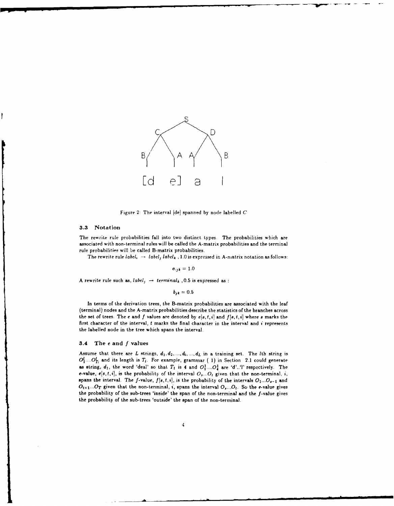

Figure 2: The interval [de] spanned by node labelled **C**

#### **3.3** Notation

The rewrite rule probabilities fall into two distinct types. The probabilities which are associated with non-terminal rules will be called the A-matrix probabilities and the terminal rule probabilities will be called B-matrix probabilities.

The rewrite rule *label*,  $\rightarrow$  *label<sub>i</sub> label<sub>k</sub>*, 1.0 is expressed in A-matrix notation as follows:

 $a_{ijk} = 1.0$ 

A rewrite rule such as,  $label_j \rightarrow terminal_k$ , 0.5 is expressed as :

 $b_{ik} = 0.5$ 

In terms of the derivation trees, the B-matrix probabilities are associated with the leaf (terminal) nodes and the A-matrix probabilities describe the statistics of the branches across the set of trees. The e and  $f$  values are denoted by  $e[s, t, i]$  and  $f[s, t, i]$  where  $s$  marks the first character of the interval, t marks the final character in the interval and *i* represents the labelled node in the tree which spans the interval.

#### **3.4** The e **and** *f* **values**

Assume that there are *L* strings,  $d_1, d_2, ..., d_i, ..., d_L$  in a training set. The *Ith* string is  $O_1^l$ .... $O_T^l$  and its length is  $T_l$ . For example, grammar (1) in Section 2.1 could generate as string,  $d_1$ , the word 'deal' so that  $T_1$  is 4 and  $O_1^1$ .... $O_4^1$  are 'd'..'? respectively. The e-value,  $e[s, t, i]$ , is the probability of the interval  $O_s$ ... $O_t$  given that the non-terminal, *i*, spans the interval. The f-value,  $f[s,t,i]$ , is the probability of the intervals  $O_1...O_{s-1}$  and *Oti+...OT* given that the non-terminal, i, spans the interval *O,...Ot.* **So** the e-value gives the probability of the sub-trees 'inside' the span of the non-terminal and the f-value gives the probability of the sub-trees 'outside' the span of the non-terminal.

 $\boldsymbol{4}$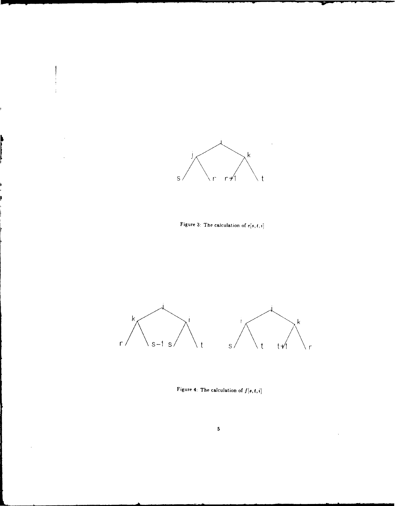

Figure 3: The calculation of  $e[s, t, i]$ 



Figure 4: The calculation of  $f[s, t, i]$ 

 $\ddot{\phantom{0}}$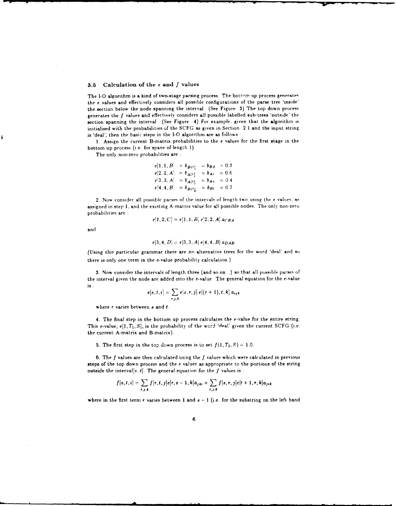#### **3.5** Calculation of **the** e and *f* values

The I-O algorithm is a kind of two-stage parsing process. The bottom up process generates the e values and effectively considers all possible configurations of the parse tree 'inside' the section below the node spanning the interval. (See Figure **3)** The top down process generates the *f* values and effectively considers all possible labelled sub-trees 'outside' the section spanning the interval (See Figure 4) For example, given that the algorithm is initialised with the probabilities **of** the **SCFG** as given in Section 2.1 and the input string is 'deal', then the basic steps in the **1-0** algorithm are as follows **:**

**1.** Assign the current B-matrix probabilities to the **c** values for the first stage in the bottom up process (i e. for spans of length **I).**

The only non-zero probabilities are **:**

$$
e[1, 1, B] = b_{BO_1^1} = b_{BA} = 0.3
$$
  
\n
$$
e[2, 2, A] = b_{AO_2^1} = b_{Ae} = 0.6
$$
  
\n
$$
e[3, 3, A] = b_{AO_3^1} = b_{Aa} = 0.4
$$
  
\n
$$
e[4, 4, B] = b_{BO_2^1} = b_{B1} = 0.7
$$

*2.* Now consider all possible parses of the intervals of length two using the e values, as assigned in step 1, and the existing A-matrix value for all possible nodes. The only non-zero probabilities are **:**

$$
e[1,2,C] = e[1,1,B] e[2,2,A] a_{CBA}
$$

and

$$
e[3,4,D] = e[3,3,A] e[4,4,B] a_{DAB}
$$

(Using this *particular grammar* there are **no** alternative trees for the word 'deal' and so there is only one term in the e-value probability calculation.)

3. Now consider the intervals of length three (and so on **..)** so that all possible parses of the interval given the node are added into the e-value The general equation for the e-value **is.**

$$
e[s,t,i] = \sum_{r,j,k} e[s,r,j] e[(r+1),t,k] a_{ijk}
$$

where r varies between s and **1.**

4. The final step in the bottom up process calculates the e-value for the entire string. This e-value,  $e[1, T_1, S]$ , is the probability of the word 'deal' given the current SCFG (i.e. the current A-matrix and B-matrix).

5. The first step in the top down process is to set  $f(1, T_1, S) = 1.0$ .

**6.** The *f* values are then calculated using the *f* values which were calculated in previous steps of the top down process and the e values as appropriate to the portions of the string outside the interval[s..tj. The general equation for the *f* values is **:**

$$
f[s,t,i] = \sum_{r,j,k} f[r,t,j]e[r,s-1,k]a_{jki} + \sum_{r,j,k} f[s,r,j]e[t+1,r,k]a_{jik}
$$

where in the first term r varies between 1 and  $s - 1$  (i.e. for the substring on the left hand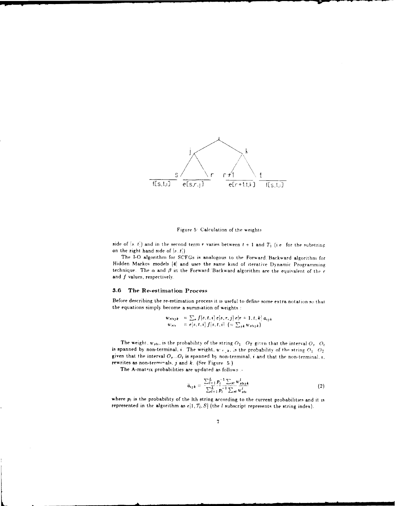

Figure 5 Calculation of the weights

side of  $[s,t]$  and in the second term r varies between  $t + 1$  and  $T_1$  (i.e. for the substring on the right hand side of *s..)*

The **1-0** algorithm for SCFGs is analogous to the Forward Backward algorithm for Hidden Markov models **J41** and uses the same kind of iterative Dynamic Programming technique. The o and **fl** in the Forward Backward algorithm are the equivalent of the *c* and  $f$  values, respectively.

#### **3.6 The Re-estimation Process**

Before describing the re-estiniation process it is useful to define some extra notation so that the equations simply become a summation of weights **:**

$$
w_{sttj,k} = \sum_{r} f[s,t,i] e[s,r,j] e[r+1,t,k] a_{tj,k}
$$
  

$$
w_{stt} = e[s,t,i] f[s,t,i] (= \sum_{jk} w_{sttj,k})
$$

The weight,  $w_{\text{str}}$ , is the probability of the string  $O_1$   $O_T$  given that the interval  $O_t$ ,  $O_t$ is spanned by non-terminal, **t.** The weight,  $w_{\pm}$ , *k*, *is* the probability of the string  $O_1$ .  $O_7$ given that the interval  $O_n$ ... $O_t$  is spanned by non-terminal,  $i$  and that the non-terminal,  $i$ , rewrites as non-terminals.  $j$  and  $k$ . (See Figure  $5$ .)

The A-matrix probabilities are updated as follows .-

$$
\bar{a}_{ijk} = \frac{\sum_{l=1}^{L} p_l^{-1} \sum_{st} w_{stijk}^l}{\sum_{l=1}^{L} p_l^{-1} \sum_{st} w_{sti}^l}
$$
 (2)

where  $p_i$  is the probability of the Ith string according to the current probabilities and it is represented in the algorithm as  $e[1, T_l, S]$  (the *l* subscript represents the string index).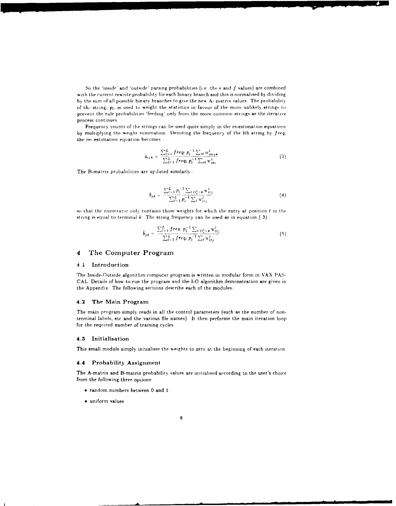So the 'inside' and 'outside\* parsing probabilities (i.e the e and *f* values) are combined with the current rewrite probability for each binary branch and this is normalised **b)** dividing by the sum of all possible binary branches to give the new A- matrix values. The probability of the string,  $p_i$ , is used to weight the statistics in favour of the more unlikely strings to prevent the rule probabilities 'feeding' only from the more common strings **as** the iterative process continues.

Frequency counts of the strings can be used quite simply in the re-estimation equations by multiplying the weight summation. Denoting the frequency of the Ith string by  $freq_i$ the re- estimation equation becomes :

$$
\bar{a}_{ijk} = \frac{\sum_{l=1}^{L} freq_l p_l^{-1} \sum_{st} w_{stijk}^l}{\sum_{l=1}^{L} freq_l p_l^{-1} \sum_{st} w_{sti}^l}
$$
(3)

The B-matrix probabilities are updated similarly *:*

$$
\bar{b}_{j,k} = \frac{\sum_{i=1}^{L} p_i^{-1} \sum_{t} \sum_{t=1}^{t} \mu_{ttj}^{t}}{\sum_{i=1}^{L} p_i^{-1} \sum_{t} \mu_{ttj}^{t}}
$$
\n(4)

so that the numerator only contains those weights for which the entry at position t in the string is equal to terminal k. The string frequency can be used as in equation (3):

$$
\bar{b}_{jk} = \frac{\sum_{l=1}^{L} fre_{0l}}{\sum_{l=1}^{L} fre_{q_l} p_l^{-1} \sum_{l} \underbrace{v_{l=k}^1 w_{tl}^l}_{u'_{tl}}}
$$
\n
$$
(5)
$$

#### *4* **The Computer Program**

#### 4.1 Introduction

The Inside-Outside algorithm computer program is written in modular form in VAX PAS-CAL. Details of how to run the program and the **1-0** algorithm demonstration are given in the Appendix. The following sections describe each of the modules.

#### 4.2 The Main Program

The main program simply reads in all the control parameters (such as the number of nonterminal labels, etc and the various file names) It then performs the main iteration loop for the required number of training cycles

#### **4.3** Initialisation

This small module simply initialises the weights to zero at the beginning of each iteration

#### 4.4 Probability Assignment

The A-matrix and B-matrix probability values are initialised according to the user's choice from the following three options:

- " random numbers between 0 and **1.**
- **"** uniform values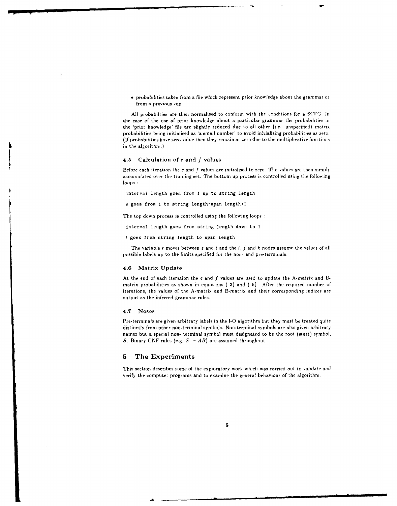probabilities taken from a file which represent prior knowledge about the grammar or from a previous :un.

All probabilties are then normalised to conform with the conditions for a SCFG. In the case of the use of prior knowledge about a particular grammar the probabilities in the 'prior knowledge' file are slightly reduced due to all other (i.e. unspecified) matrix probabilities being initialised as 'a small number' to avoid initialising probabilities as zero. (If probabilities have zero value then they remain at zero due to the multiplicative functior,s in the algorithm.)

#### *4.5* Calculation of e and *f* values

Before each iteration the e and *f* values are initialised to zero. The values are then simply accumulated over the training set. The bottom up process is controlled using the following loops **:**

interval length goes from *I* up to string length

s goes from 1 to string length-span length+l

The top down process is controlled using the following loops :

interval length goes from string length down to **I**

**t** goes from string length to span length

The variable r moves between s and *t* and the *i, j* and *k* nodes assume the values of all possible labels up to the limits specified for the non- and pre-terminals.

#### 4.6 Matrix Update

At the end of each iteration the e and *f* values are used to update the A-matrix and Bmatrix probabilities as shown in equations **(** 3) and **(** 5). After the required number of iterations, the values of the A-matrix and B-matrix and their *corresponding* indices are output as the inferred grammar rules.

#### 4.7 Notes

Pre-termina!s are given arbitrary labels in the **1-0** algorithm but they must be treated quite distinctly from other non-terminal symbols. Non-terminal symbols are also given arbitrary namez but a special non- terminal symbol must designated to be the root (start) symbol. S. Binary CNF rules (e.g.  $S \rightarrow AB$ ) are assumed throughout.

#### **5 The** Experiments

This section describes some of the exploratory work which was carried out to validate and verify the computer programs and to examine the genera! behaviour of the algorithm.

-A .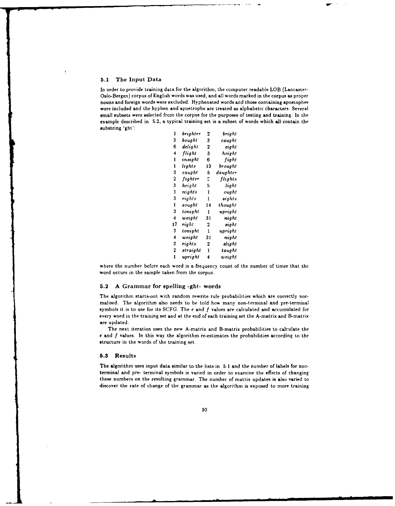#### **5.1** The Input Data

In order to provide training data for the algorithm, the computer readable LOB (Lancaster-Oslo-Bergen) corpus of English words was used, and all words marked in the corpus as proper nouns and foreign words were excluded. Hyphenated words and those containing apostophes were included and the hyphen and apostrophe are treated as alphabetic characters. Several small subsets were selected from the corpus for the purposes of testing and training. In the example described in 5.2, a typical training set is a subset of words which all contain the substring 'ght':

| 1  | brighter | 2  | bright   |
|----|----------|----|----------|
| 3  | bought   | 3  | caught   |
| 6  | delight  | 2  | eight    |
| 4  | flight   | 3  | height   |
| 1  | insight  | 6  | fight    |
| ı  | lights   | 13 | brought  |
| 3  | caught   | 5  | daughter |
| 2  | fighter  | 2  | flights  |
| 3  | height   | 5  | light    |
| ı  | nights   | 1  | ought    |
| 3  | rights   | 1  | sights   |
| ı  | sought   | 14 | thought  |
| 3  | tonight  | ı  | upright  |
| 4  | weight   | 31 | night    |
| 17 | right    | 2  | sight    |
| 3  | tonight  | 1  | upright  |
| 4  | weight   | 31 | night    |
| 3  | rights   | 2  | slight   |
| 2  | straight | ı  | taught   |
| 1  | upright  | 4  | weight   |

where the number before each word is a frequency count of the number of times that the word occurs in the sample taken from the corpus.

#### **5.2** A Grammar for spelling -ght- words

The algorithm starts-out with random rewrite rule probabilities which are correctly normalised. The algorithm also needs to be told how many non-terminal and pre-terminal symbols it is to use for its SCFG. The *e* and f values are calculated and accumulated for every word in the training set and at the end of each training set the A-matrix and B-matrix are updated.

The next iteration uses the new A-matrix and B-matrix probabilities to calculate the *e* and f values. In this way the algorithm re-estimates the probabilities according to the structure in the words of the training set.

#### **5.3** Results

The algorithm uses input data similar to the lists in **5.1** and the number of labels for nonterminal and pre- terminal symbols is varied in order to examine the effects of changing these numbers on the resulting grammar. The number of matrix updates is also varied to discover the rate of change of the grammar as the algorithm is exposed to more training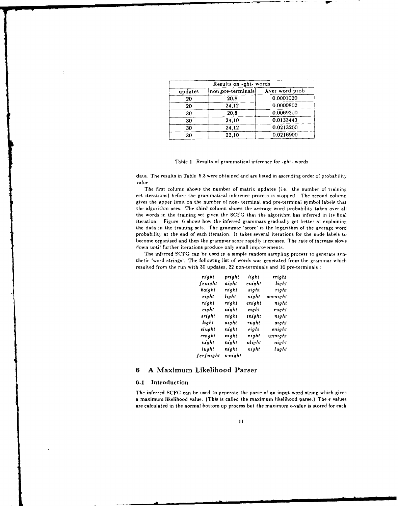|         | Results on -ght- words |                |
|---------|------------------------|----------------|
| updates | non, pre-terminals     | Aver word prob |
| 20      | 20,8                   | 0.0001020      |
| 20      | 24,12                  | 0.0000802      |
| 30      | 20,8                   | 0.0069200      |
| 30      | 24,10                  | 0.0133443      |
| 30      | 24,12                  | 0.0213200      |
| 30      | 22,10                  | 0.0216900      |

Table **1:** Results of grammatical inference for -ght- words

data. The results in Table **5.3** were obtained and are listed in ascending order of probability value,

The first column shows the number of matrix updates (i.e. the number of training set iterations) before the grammatical inference process is stopped. The second column gives the upper limit on the number of non- terminal and pre-terminal symbol labels that the algorithm uses. The third column shows the average word probability taken over all the words in the training set given the **SCFG** that the algorithm has inferred in its final iteration. Figure **6** shows how the inferred grammars gradually get better at explaining the data in the training sets. The grammar 'score' is the logarithm of the average word probability at the end of each iteration. It takes several iterations for the node labels to become organised and then the grammar score rapidly increases. The rate of increase slows down until further iterations produce only small improvements.

The inferred **SCFG** can be used in a simple random sampling process to generate synthetic 'word strings'. The following list of words was generated from the grammar which resulted from the run with **30** updates, 22 non-terminals and **10** pre-terminals

| night      | pright | light  | rright  |
|------------|--------|--------|---------|
| fenight    | aight  | enight | light   |
| baight     | night  | sight  | right   |
| eight      | light  | night  | wwnight |
| night      | nıqhi  | enight | night   |
| eight      | night  | eight  | rught   |
| sright     | night  | tnight | night   |
| light      | aight  | rught  | aight   |
| elught     | night  | eight  | enight  |
| cnight     | night  | night  | unnight |
| night      | night  | ulight | night   |
| lught      | night  | night  | lught   |
| fec fnight | wnight |        |         |

#### **6 A** Maximum Likelihood Parser

#### **6.1** Introduction

The inferred SCFG can be used to generate the parse of an input word string which gives a maximum likelihood value. (This is called the maximum likelihood parse.) The **f** values are calculated in the normal bottom up process but the maximum e-value is stored for each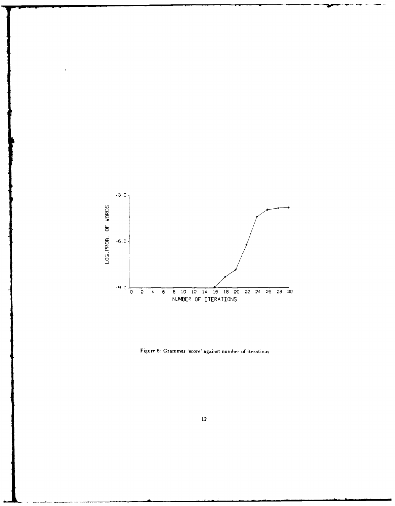

Figure 6: Grammar 'score' against number of iterations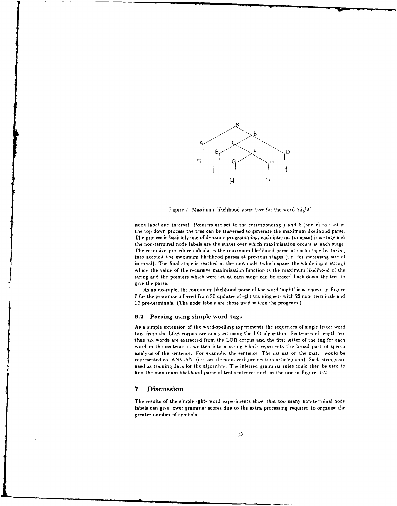

Figure **7:** Maximum likelihood parse tree for the word 'night'

node label and interval. Pointers are set to the corresponding j and *k* (and r) so that in the top down process the tree can be traversed to generate the maximum likelihood parse. The process is basically one of dynamic programming; each interval (or span) is a stage and the non-terminal node labels are the states over which maximisation occurs at each stage The recursive procedure calculates the maximum likelihood parse at each stage by taking into account the maximum likelihood parses at previous stages (i.e. for increasing size of interval). The final stage is reached at the root node (which spans the whole input string) where the value of the recursive maximisation function is the maximum likelihood of the string and the pointers which were set at each stage can be traced back down the tree to give the parse.

As an example, the maximum likelihood parse of the word 'night' is as shown in Figure **7** for the grammar inferred from **30** updates of -ght training sets with 22 non- terminals and 10 pre-terminals. (The node labels are those used within the program.)

#### **6.2** Parsing using simple word tags

As a simple extension of the word-spelling experiments the sequences of single letter word tags from the LOB corpus are analysed using the **1-0** algorithm. Sentences of length less than six words are extrected from the LOB corpus and the first letter of the tag for each word in the sentence is written into a string which represents the broad part of speech analysis of the sentence. For example, the sentence 'The cat sat on the mat.' would be represented as 'ANVIAN' (i.e. article,noun,verb,preposition,article,noun). Such strings are used as training data for the algorithm The inferred grammar rules could then be used to find the maximum likelihood parse of test sentences such as the one in Figure *6,2.*

#### **7** Discussion

The results of the simple -ght- word experiments show that too many non-terminal node labels can give lower grammar scores due to the extra processing required to organise the greater number of symbols.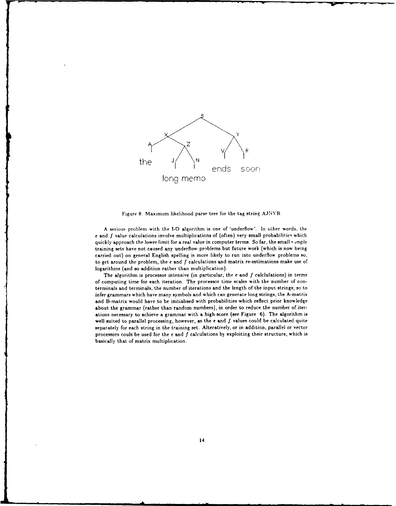

Figure **8:** Maximum likelihood parse tree **for** the tag string AJNNVR

**A** Serious problem with the **1-0** algorithm is one of 'underfiow'. In Other words, the e and f value calculations involve multiplications of (often) very small probabilities which quickly approach the lower limit for a real value in computer terms. So far, the small sample training sets have not caused any underfiow problems but future work (which is now being carried out) on general English spelling is more likely to run into underflow problems so, to get around the problem, the **e** and *f* calculations and matrix re-estimations make use of logarithms (and so addition rather than multiplication).

The algorithm is processor intensive (in particular, the **e** and *f* calclulations) in terms of computing time for each iteration. The processor time scales with the number of nonterminals and terminals, the number of iterations and the length of the input strings, so to infer grammars which have many symbols and which can generate long strings, the A-matrix and B-matrix would have to be initialised with probabilities which reflect prior knowledge about the grammar (rather than random numbers), in order to reduce the number of iterations necessary to achieve a grammar with a high score (see Figure **6).** The algorithm is well suited to parallel processing, however, as the **e** and **f** values could be calculated quite separately for each string in the training set. Alteratively, or in addition, parallel or vector processors couls be used for the **e** and *f* calculations **by** exploiting their structure, which is basically that of matrix multiplication.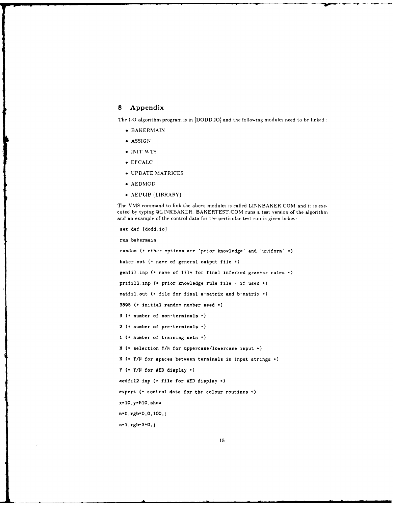#### **8 Appendix**

The I-O algorithm program is in [DODD.IO] and the following modules need to be linked :

- **e** BAKERMAIN
- **e ASSIGN**
- **\* INIT WTS**
- **e EFCALC**
- **\* UPDATE** MATRICES
- **\* AEDMOD**
- **\*** AEDLIB (LIBRARY)

The VMS command to link the above modules is called LINKBAKER.COM and it is executed **by** typing @LINKBAKER BAKERTEST.GOM runs a test version of the algorithm and an example of the control data for the perticular test run is given below:

```
set def [dodd.io]
run bakermain
random (* other options are 'prior knowledge' and 'uniform' *)
baker.out (* name of general output file *)genfil.inp (* name of file for final inferred grammar rules *)
prifil2.inp (*prior knowledge rule file - if used *
matfil.out (* file for final a-matrix and b-matrix *)3895 (* initial random number aeed *
3 (* number of non-terminals *)
2 (* number of pre-terminals *)
1 (* number of training sets *)N (* selection Y/N for uppercase/lowercase input *)
N (* Y/N for spaces between terminals in input strings *)
Y (*YIN for AED display *)
aedfil2.inp (* file for AED display *
expert (* control data for the colour routines *
x-10.Y-510,ahow
n=0,rgb=0,0,100,j
n=1.rgb=3*0.j
```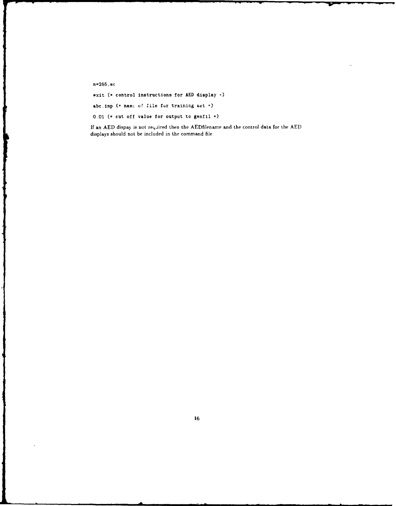n-255. **BC**

exit **(\*** control instructions for **AED** display \*

abc.inp **(\*** namce **o!** file fur training set **\*)**

**0.01 (\*** cut off value for output to genfil \*

**If** an **AED** dispay is not reqaired then the AEDfilename and the control data for the **AED** displays should not be included in the command file.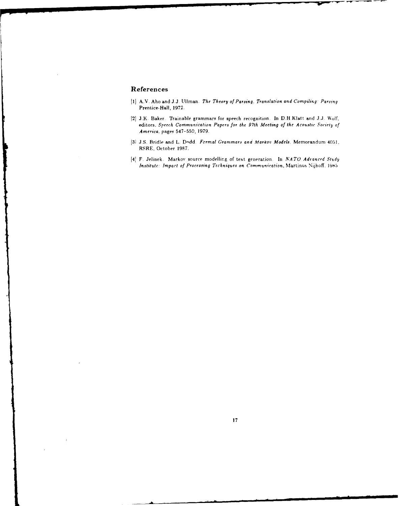# **References**

 $\mathbf{r}$ 

- **11)** A.V. Aho and **J.J.** Ullman. *The Theory of* Parsing. Translation and Compiling' *Parsing* Prentice-Hall, **1972.**
- 121 *3.K.* Baker. Trainable grammars for speech recognition. In D.H.Klatt and *3.3.* Wolf. editors. Speech Communication Papers for the 97th *Meeting of the Acoustic Society of America.* pages **547-550, 1979.**
- **131 J.S.** Bridle and L. Dodd. *Formal* Grammars an4 Alarkot' Models. Memorandum 405, RSRE, October **1987.**
- [4] F. Jelinek. Markov source modelling of text generation. In *NATO Advanced Study Institute: Impact of Processing Techniques on Communication, Martinus Nijhoff. 1985*